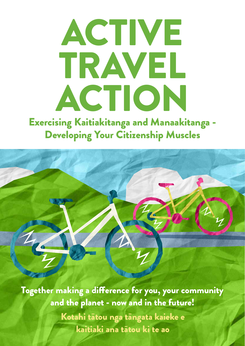# ACTIVE TRAVEL ACTION

Exercising Kaitiakitanga and Manaakitanga - Developing Your Citizenship Muscles

Together making a difference for you, your community and the planet - now and in the future! Kotahi tātou nga tāngata kaieke e kaitiaki ana tātou ki te ao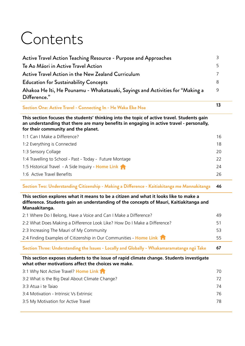# Contents

| Difference."                                                                  |   |
|-------------------------------------------------------------------------------|---|
| Ahakoa He Iti, He Pounamu - Whakatauaki, Sayings and Activities for "Making a | 9 |
| <b>Education for Sustainability Concepts</b>                                  | 8 |
| <b>Active Travel Action in the New Zealand Curriculum</b>                     |   |
| Te Ao Maori in Active Travel Action                                           | 5 |
| Active Travel Action Teaching Resource - Purpose and Approaches               |   |

#### **Section One: Active Travel - Connecting In - He Waka Eke Noa <sup>13</sup>**

**This section focuses the students' thinking into the topic of active travel. Students gain an understanding that there are many benefits in engaging in active travel - personally, for their community and the planet.**

| 1:1 Can I Make a Difference?                             | 16 |
|----------------------------------------------------------|----|
| 1:2 Everything is Connected                              | 18 |
| 1:3 Sensory Collage                                      | 20 |
| 1:4 Travelling to School - Past - Today - Future Montage | 22 |
| 1:5 Historical Travel - A Side Inquiry - Home Link       | 24 |
| 1:6 Active Travel Benefits                               | 26 |

#### **Section Two: Understanding Citizenship - Making a Difference - Kaitiakitanga me Mannakitanga 46**

**This section explores what it means to be a citizen and what it looks like to make a difference. Students gain an understanding of the concepts of Mauri, Kaitiakitanga and Manaakitanga.**

| 2:1 Where Do I Belong, Have a Voice and Can I Make a Difference?                                                                               | 49 |  |  |
|------------------------------------------------------------------------------------------------------------------------------------------------|----|--|--|
| 2:2 What Does Making a Difference Look Like? How Do I Make a Difference?                                                                       | 51 |  |  |
| 2:3 Increasing The Mauri of My Community                                                                                                       | 53 |  |  |
| 2:4 Finding Examples of Citizenship in Our Communities - Home Link                                                                             | 55 |  |  |
| Section Three: Understanding the Issues - Locally and Globally - Whakamaramatanga ngā Take                                                     | 67 |  |  |
| This section exposes students to the issue of rapid climate change. Students investigate<br>what other motivations affect the choices we make. |    |  |  |
|                                                                                                                                                |    |  |  |
| 3:1 Why Not Active Travel? Home Link 1                                                                                                         | 70 |  |  |
| 3:2 What is the Big Deal About Climate Change?                                                                                                 | 72 |  |  |
| 3:3 Atua i te Taiao                                                                                                                            | 74 |  |  |
| 3:4 Motivation - Intrinsic Vs Extrinsic                                                                                                        | 76 |  |  |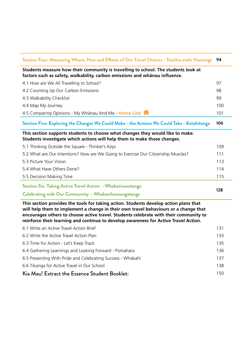| Section Four: Measuring Where, How and Effects of Our Travel Choices - Tataihia etahi Haerenga<br>94                                                                                                                                                                                                                                                           |     |  |  |
|----------------------------------------------------------------------------------------------------------------------------------------------------------------------------------------------------------------------------------------------------------------------------------------------------------------------------------------------------------------|-----|--|--|
| Students measure how their community is travelling to school. The students look at<br>factors such as safety, walkability, carbon emissions and whānau influence.                                                                                                                                                                                              |     |  |  |
| 4:1 How are We All Travelling to School?                                                                                                                                                                                                                                                                                                                       | 97  |  |  |
| 4:2 Counting Up Our Carbon Emissions                                                                                                                                                                                                                                                                                                                           |     |  |  |
| 4:3 Walkability Checklist                                                                                                                                                                                                                                                                                                                                      |     |  |  |
| 4:4 Map My Journey                                                                                                                                                                                                                                                                                                                                             | 100 |  |  |
| 4.5 Comparing Opinions - My Whanau And Me - Home Link 1                                                                                                                                                                                                                                                                                                        | 101 |  |  |
| Section Five: Exploring the Changes We Could Make - the Actions We Could Take - Kotahitanga                                                                                                                                                                                                                                                                    | 106 |  |  |
| This section supports students to choose what changes they would like to make.<br>Students investigate which actions will help them to make those changes.                                                                                                                                                                                                     |     |  |  |
| 5:1 Thinking Outside the Square - Thinker's Keys                                                                                                                                                                                                                                                                                                               | 109 |  |  |
| 5:2 What are Our Intentions? How are We Going to Exercise Our Citizenship Muscles?                                                                                                                                                                                                                                                                             | 111 |  |  |
| 5:3 Picture Your Vision                                                                                                                                                                                                                                                                                                                                        | 113 |  |  |
| 5:4 What Have Others Done?                                                                                                                                                                                                                                                                                                                                     | 114 |  |  |
| 5:5 Decision Making Time                                                                                                                                                                                                                                                                                                                                       | 115 |  |  |
| Section Six: Taking Active Travel Action - Whakatinanatanga                                                                                                                                                                                                                                                                                                    |     |  |  |
| <b>Celebrating with Our Community - Whakawhanaungatanga</b>                                                                                                                                                                                                                                                                                                    | 128 |  |  |
| This section provides the tools for taking action. Students develop action plans that<br>will help them to implement a change in their own travel behaviours or a change that<br>encourages others to choose active travel. Students celebrate with their community to<br>reinforce their learning and continue to develop awareness for Active Travel Action. |     |  |  |
| 6:1 Write an Active Travel Action Brief                                                                                                                                                                                                                                                                                                                        | 131 |  |  |
| 6:2 Write the Active Travel Action Plan                                                                                                                                                                                                                                                                                                                        | 133 |  |  |
| 6:3 Time for Action - Let's Keep Track                                                                                                                                                                                                                                                                                                                         | 135 |  |  |
| 6:4 Gathering Learnings and Looking Forward - Pūmahara                                                                                                                                                                                                                                                                                                         | 136 |  |  |
| 6:5 Presenting With Pride and Celebrating Success - Whakahī                                                                                                                                                                                                                                                                                                    | 137 |  |  |
| 6:6 Tikanga for Active Travel in Our School                                                                                                                                                                                                                                                                                                                    |     |  |  |
| Kia Mau! Extract the Essence Student Booklet:                                                                                                                                                                                                                                                                                                                  | 150 |  |  |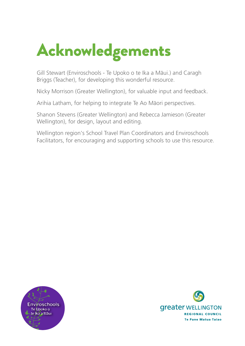# Acknowledgements

Gill Stewart (Enviroschools - Te Upoko o te Ika a Mäui.) and Caragh Briggs (Teacher), for developing this wonderful resource.

Nicky Morrison (Greater Wellington), for valuable input and feedback.

Arihia Latham, for helping to integrate Te Ao Mäori perspectives.

Shanon Stevens (Greater Wellington) and Rebecca Jamieson (Greater Wellington), for design, layout and editing.

Wellington region's School Travel Plan Coordinators and Enviroschools Facilitators, for encouraging and supporting schools to use this resource.



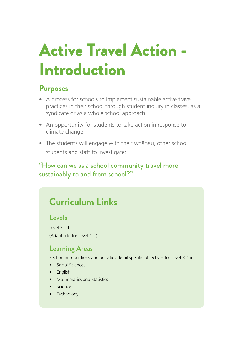# Active Travel Action - Introduction

# **Purposes**

- A process for schools to implement sustainable active travel practices in their school through student inquiry in classes, as a syndicate or as a whole school approach.
- An opportunity for students to take action in response to climate change.
- The students will engage with their whänau, other school students and staff to investigate:

### "How can we as a school community travel more sustainably to and from school?"

# **Curriculum Links**

#### Levels

Level 3 - 4 (Adaptable for Level 1-2)

### Learning Areas

Section introductions and activities detail specific objectives for Level 3-4 in:

- Social Sciences
- English
- Mathematics and Statistics
- Science
- Technology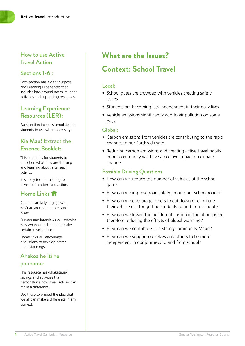#### How to use Active Travel Action

#### Sections 1-6 :

Each section has a clear purpose and Learning Experiences that includes background notes, student activities and supporting resources.

#### Learning Experience Resources (LER):

Each section includes templates for students to use when necessary.

#### Kia Mau! Extract the Essence Booklet:

This booklet is for students to reflect on what they are thinking and learning about after each activity.

It is a key tool for helping to develop intentions and action.

#### Home Links **A**

Students actively engage with whänau around practices and issues.

Surveys and interviews will examine why whänau and students make certain travel choices.

Home links will encourage discussions to develop better understandings.

#### Ahakoa he iti he pounamu:

This resource has whakatauaki, sayings and activities that demonstrate how small actions can make a difference.

Use these to embed the idea that we all can make a difference in any context.

# **What are the Issues? Context: School Travel**

#### Local:

- School gates are crowded with vehicles creating safety issues.
- Students are becoming less independent in their daily lives.
- Vehicle emissions significantly add to air pollution on some days.

#### Global:

- Carbon emissions from vehicles are contributing to the rapid changes in our Earth's climate.
- Reducing carbon emissions and creating active travel habits in our community will have a positive impact on climate change.

#### Possible Driving Questions

- How can we reduce the number of vehicles at the school gate?
- How can we improve road safety around our school roads?
- How can we encourage others to cut down or eliminate their vehicle use for getting students to and from school ?
- How can we lessen the buildup of carbon in the atmosphere therefore reducing the effects of global warming?
- How can we contribute to a strong community Mauri?
- How can we support ourselves and others to be more independent in our journeys to and from school?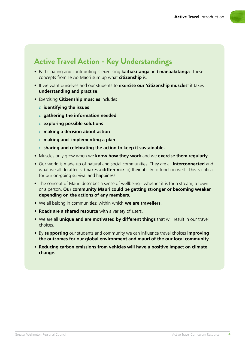# **Active Travel Action - Key Understandings**

- Participating and contributing is exercising **kaitiakitanga** and **manaakitanga**. These concepts from Te Ao Mäori sum up what **citizenship** is.
- If we want ourselves and our students to **exercise our 'citizenship muscles'** it takes **understanding and practise**.
- Exercising **Citizenship muscles** includes
	- o **identifying the issues**
	- o **gathering the information needed**
	- o **exploring possible solutions**
	- o **making a decision about action**
	- o **making and implementing a plan**
	- o **sharing and celebrating the action to keep it sustainable.**
- Muscles only grow when we **know how they work** and we **exercise them regularly**.
- Our world is made up of natural and social communities. They are all **interconnected** and what we all do affects (makes a **difference** to) their ability to function well. This is critical for our on-going survival and happiness.
- The concept of Mauri describes a sense of wellbeing whether it is for a stream, a town or a person. **Our community Mauri could be getting stronger or becoming weaker depending on the actions of any members.**
- We all belong in communities; within which **we are travellers**.
- **Roads are a shared resource** with a variety of users.
- We are all **unique and are motivated by different things** that will result in our travel choices.
- By **supporting** our students and community we can influence travel choices **improving the outcomes for our global environment and mauri of the our local community.**
- **Reducing carbon emissions from vehicles will have a positive impact on climate change.**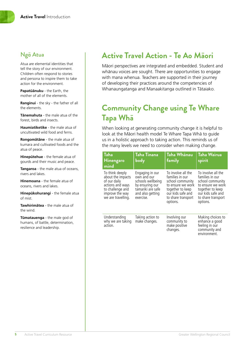#### Ngā Atua

Atua are elemental identities that tell the story of our environment. Children often respond to stories and persona to inspire them to take action for the environment.

**Papatüänuku** - the Earth, the mother of all of the elements.

**Ranginui** - the sky - the father of all the elements.

**Tänemahuta** - the male atua of the forest, birds and insects.

**Haumiatiketike** - the male atua of uncultivated wild food and ferns.

**Rongomätäne** - the male atua of kumara and cultivated foods and the atua of peace.

**Hinepütehue** - the female atua of gourds and their music and peace.

**Tangaroa** - the male atua of oceans, rivers and lakes.

**Hinemoana** - the female atua of oceans, rivers and lakes.

**Hinepükohurangi** - the female atua of mist.

**Tawhirimätea** - the male atua of the wind.

**Tümatauenga** - the male god of humans, of battle, determination, resilience and leadership.

## **Active Travel Action - Te Ao Māori**

Mäori perspectives are integrated and embedded. Student and whänau voices are sought. There are opportunities to engage with mana whenua. Teachers are supported in their journey of developing their practices around the competencies of Whanaungatanga and Manaakitanga outlined in Tätaiako.

# **Community Change using Te Whare Tapa Whā**

When looking at generating community change it is helpful to look at the Mäori health model Te Whare Tapa Whä to guide us in a holistic approach to taking action. This reminds us of the many levels we need to consider when making change.

| <b>Taha</b><br><b>Hinengaro</b><br>mind                                                                                               | Taha Tinana<br>body                                                                                                          | Taha Whanau<br>family                                                                                                                                     | <b>Taha Wairua</b><br>spirit                                                                                                                              |
|---------------------------------------------------------------------------------------------------------------------------------------|------------------------------------------------------------------------------------------------------------------------------|-----------------------------------------------------------------------------------------------------------------------------------------------------------|-----------------------------------------------------------------------------------------------------------------------------------------------------------|
| To think deeply<br>about the impacts<br>of our daily<br>actions and ways<br>to challenge and<br>improve the way<br>we are travelling. | Engaging in our<br>own and our<br>schools wellbeing<br>by ensuring our<br>tamariki are safe<br>and also getting<br>exercise. | To involve all the<br>families in our<br>school community<br>to ensure we work<br>together to keep<br>our kids safe and<br>to share transport<br>options. | To involve all the<br>families in our<br>school community<br>to ensure we work<br>together to keep<br>our kids safe and<br>to share transport<br>options. |
| Understanding<br>why we are taking<br>action.                                                                                         | Taking action to<br>make changes.                                                                                            | Involving our<br>community to<br>make positive<br>changes.                                                                                                | Making choices to<br>enhance a good<br>feeling in our<br>community and<br>environment.                                                                    |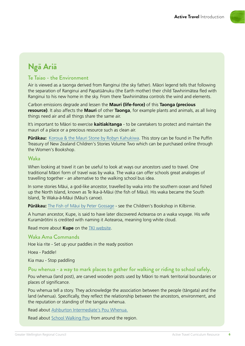

# **Ngā Ariā**

#### Te Taiao - the Environment

Air is viewed as a taonga derived from Ranginui (the sky father). Mäori legend tells that following the separation of Ranginui and Papatüänuku (the Earth mother) their child Tawhirimätea fled with Ranginui to his new home in the sky. From there Tawhirimätea controls the wind and elements.

Carbon emissions degrade and lessen the **Mauri (life-force)** of this **Taonga (precious resource)**. It also affects the **Mauri** of other **Taonga**, for example plants and animals, as all living things need air and all things share the same air.

It's important to Mäori to exercise **kaitiakitanga** - to be caretakers to protect and maintain the mauri of a place or a precious resource such as clean air.

**Püräkau:** [Koroua & the Mauri Stone by Robyn Kahukiwa](https://www.womensbookshop.co.nz/p/fiction-the-puffin-treasury-of-new-zealand-children-s-stories-volume-2). This story can be found in The Puffin Treasury of New Zealand Children's Stories Volume Two which can be purchased online through the Women's Bookshop.

#### Waka

When looking at travel it can be useful to look at ways our ancestors used to travel. One traditional Mäori form of travel was by waka. The waka can offer schools great analogies of travelling together - an alternative to the walking school bus idea.

In some stories Mäui, a god-like ancestor, travelled by waka into the southern ocean and fished up the North Island, known as Te Ika-ä-Mäui (the fish of Mäui). His waka became the South Island, Te Waka-ä-Mäui (Mäui's canoe).

**Püräkau:** [The Fish of Mäui by Peter Gossage](https://www.thechildrensbookshop.co.nz/p/maori-myths-and-legends-the-fish-of-maui) - see the Children's Bookshop in Kilbirnie.

A human ancestor, Kupe, is said to have later discovered Aotearoa on a waka voyage. His wife Kuramärötini is credited with naming it Aotearoa, meaning long white cloud.

Read more about **Kupe** on the [TKI website.](http://eng.mataurangamaori.tki.org.nz/Support-materials/Te-Reo-Maori/Maori-Myths-Legends-and-Contemporary-Stories/Kupe-s-travels-around-Aotearoa)

#### Waka Ama Commands

Hoe kia rite - Set up your paddles in the ready position

Hoea - Paddle!

Kia mau - Stop paddling

#### Pou whenua - a way to mark places to gather for walking or riding to school safely.

Pou whenua (land post), are carved wooden posts used by Mäori to mark territorial boundaries or places of significance.

Pou whenua tell a story. They acknowledge the association between the people (tängata) and the land (whenua). Specifically, they reflect the relationship between the ancestors, environment, and the reputation or standing of the tangata whenua.

Read about [Ashburton Intermediate's Pou Whenua.](http://www.guardianonline.co.nz/schools/pou-finally-becomes-a-reality/)

Read about [School Walking Pou](https://www.movinmarch.com/single-post/2018/06/05/Walking-Pou) from around the region.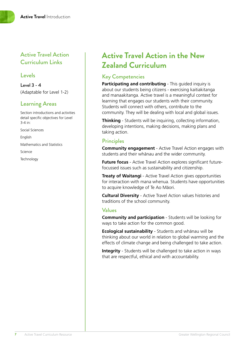#### Active Travel Action Curriculum Links

#### Levels

Level 3 - 4 (Adaptable for Level 1-2)

#### Learning Areas

Section introductions and activities detail specific objectives for Level 3-4 in:

Social Sciences

English

Mathematics and Statistics

Science

**Technology** 

# **Active Travel Action in the New Zealand Curriculum**

#### Key Competencies

**Participating and contributing** - This quided inquiry is about our students being citizens - exercising kaitiakitanga and manaakitanga. Active travel is a meaningful context for learning that engages our students with their community. Students will connect with others, contribute to the community. They will be dealing with local and global issues.

**Thinking** - Students will be inquiring, collecting information, developing intentions, making decisions, making plans and taking action.

#### **Principles**

**Community engagement** - Active Travel Action engages with students and their whänau and the wider community.

**Future focus** - Active Travel Action explores significant futurefocussed issues such as sustainability and citizenship.

**Treaty of Waitangi** - Active Travel Action gives opportunities for interaction with mana whenua. Students have opportunities to acquire knowledge of Te Ao Mäori.

**Cultural Diversity** - Active Travel Action values histories and traditions of the school community.

#### Values

**Community and participation** - Students will be looking for ways to take action for the common good.

**Ecological sustainability** - Students and whänau will be thinking about our world in relation to global warming and the effects of climate change and being challenged to take action.

**Integrity** - Students will be challenged to take action in ways that are respectful, ethical and with accountability.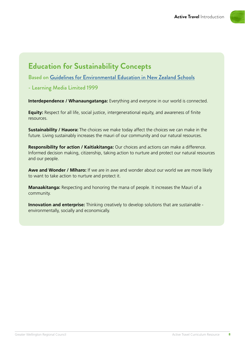

# **Education for Sustainability Concepts**

Based on [Guidelines for Environmental Education in New Zealand Schools](http://nzcurriculum.tki.org.nz/Curriculum-resources/Education-for-sustainability/Tools-and-resources/Guidelines-for-Environmental-Education-in-New-Zealand-Schools)

- Learning Media Limited 1999

**Interdependence / Whanaungatanga:** Everything and everyone in our world is connected.

**Equity:** Respect for all life, social justice, intergenerational equity, and awareness of finite resources.

**Sustainability / Hauora:** The choices we make today affect the choices we can make in the future. Living sustainably increases the mauri of our community and our natural resources.

**Responsibility for action / Kaitiakitanga:** Our choices and actions can make a difference. Informed decision making, citizenship, taking action to nurture and protect our natural resources and our people.

**Awe and Wonder / Mïharo:** If we are in awe and wonder about our world we are more likely to want to take action to nurture and protect it.

**Manaakitanga:** Respecting and honoring the mana of people. It increases the Mauri of a community.

**Innovation and enterprise:** Thinking creatively to develop solutions that are sustainable environmentally, socially and economically.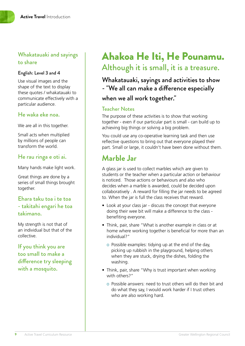#### Whakatauaki and sayings to share

#### English: Level 3 and 4

Use visual images and the shape of the text to display these quotes / whakatauaki to communicate effectively with a particular audience.

#### He waka eke noa.

We are all in this together.

Small acts when multiplied by millions of people can transform the world.

#### He rau ringa e oti ai.

Many hands make light work.

Great things are done by a series of small things brought together.

#### Ehara taku toa i te toa - takitahi engari he toa takimano.

My strength is not that of an individual but that of the collective.

If you think you are too small to make a difference try sleeping with a mosquito.

# Ahakoa He Iti, He Pounamu. Although it is small, it is a treasure.

Whakatauaki, sayings and activities to show - "We all can make a difference especially when we all work together."

#### Teacher Notes

The purpose of these activities is to show that working together - even if our particular part is small - can build up to achieving big things or solving a big problem.

You could use any co-operative learning task and then use reflective questions to bring out that everyone played their part. Small or large, it couldn't have been done without them.

# **Marble Jar**

A glass jar is used to collect marbles which are given to students or the teacher when a particular action or behaviour is noticed. Those actions or behaviours and also who decides when a marble is awarded, could be decided upon collaboratively . A reward for filling the jar needs to be agreed to. When the jar is full the class receives that reward.

- Look at your class jar discuss the concept that everyone doing their wee bit will make a difference to the class benefiting everyone.
- Think, pair, share "What is another example in class or at home where working together is beneficial for more than an individual?"
	- o Possible examples: tidying up at the end of the day, picking up rubbish in the playground, helping others when they are stuck, drying the dishes, folding the washing.
- Think, pair, share "Why is trust important when working with others?"
	- o Possible answers: need to trust others will do their bit and do what they say, I would work harder if I trust others who are also working hard.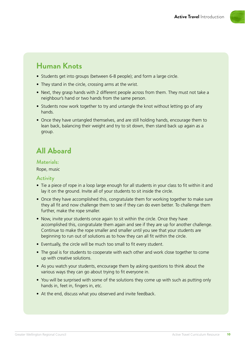

# **Human Knots**

- Students get into groups (between 6-8 people); and form a large circle.
- They stand in the circle, crossing arms at the wrist.
- Next, they grasp hands with 2 different people across from them. They must not take a neighbour's hand or two hands from the same person.
- Students now work together to try and untangle the knot without letting go of any hands.
- Once they have untangled themselves, and are still holding hands, encourage them to lean back, balancing their weight and try to sit down, then stand back up again as a group.

# **All Aboard**

#### Materials:

Rope, music

#### **Activity**

- Tie a piece of rope in a loop large enough for all students in your class to fit within it and lay it on the ground. Invite all of your students to sit inside the circle.
- Once they have accomplished this, congratulate them for working together to make sure they all fit and now challenge them to see if they can do even better. To challenge them further, make the rope smaller.
- Now, invite your students once again to sit within the circle. Once they have accomplished this, congratulate them again and see if they are up for another challenge. Continue to make the rope smaller and smaller until you see that your students are beginning to run out of solutions as to how they can all fit within the circle.
- Eventually, the circle will be much too small to fit every student.
- The goal is for students to cooperate with each other and work close together to come up with creative solutions.
- As you watch your students, encourage them by asking questions to think about the various ways they can go about trying to fit everyone in.
- You will be surprised with some of the solutions they come up with such as putting only hands in, feet in, fingers in, etc.
- At the end, discuss what you observed and invite feedback.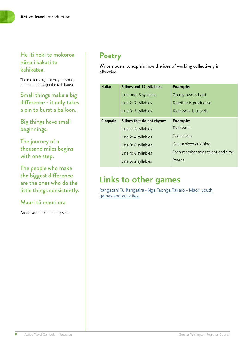#### He iti hoki te mokoroa n**ā**na i kakati te kahikatea.

The mokoroa (grub) may be small, but it cuts through the Kahikatea.

Small things make a big difference - it only takes a pin to burst a balloon.

Big things have small beginnings.

The journey of a thousand miles begins with one step.

The people who make the biggest difference are the ones who do the little things consistently.

#### Mauri tū mauri ora

An active soul is a healthy soul.

# **Poetry**

Write a poem to explain how the idea of working collectively is effective.

| <b>Haiku</b>    | 3 lines and 17 syllables.  | <b>Example:</b>                  |
|-----------------|----------------------------|----------------------------------|
|                 | Line one: 5 syllables.     | On my own is hard                |
|                 | Line 2: 7 syllables.       | Together is productive           |
|                 | Line 3: 5 syllables.       | Teamwork is superb               |
| <b>Cinquain</b> | 5 lines that do not rhyme: | <b>Example:</b>                  |
|                 | Line 1: 2 syllables        | <b>Teamwork</b>                  |
|                 | Line 2: 4 syllables        | Collectively                     |
|                 | Line 3: 6 syllables        | Can achieve anything             |
|                 | Line 4: 8 syllables        | Each member adds talent and time |
|                 | Line 5: 2 syllables        | Potent                           |

# **Links to other games**

Rangatahi Tu Rangatira - [Ngä Taonga Täkaro - Mäori youth](https://www.r2r.org.nz/games-activities-maori-youth.html)  [games and activities.](https://www.r2r.org.nz/games-activities-maori-youth.html)